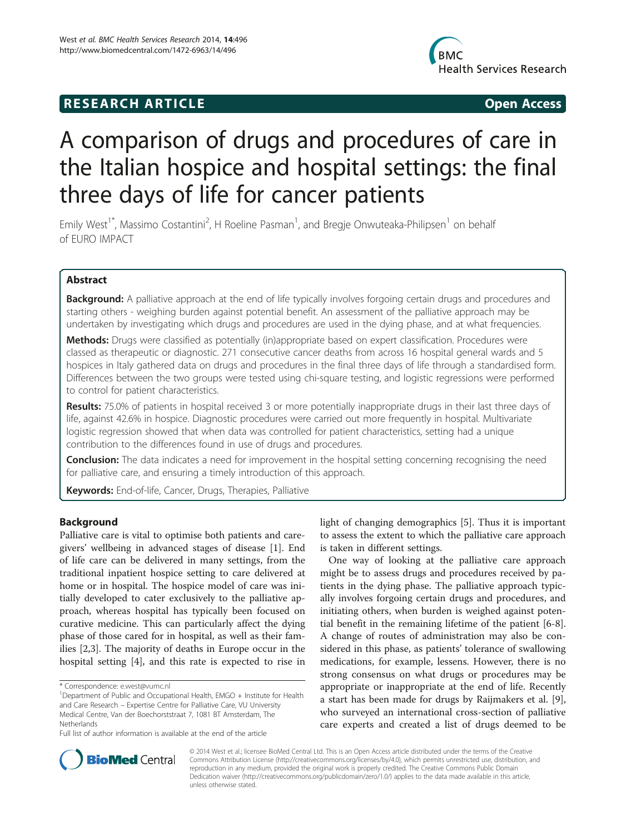## **RESEARCH ARTICLE Example 2018 12:00 Open Access**



# A comparison of drugs and procedures of care in the Italian hospice and hospital settings: the final three days of life for cancer patients

Emily West<sup>1\*</sup>, Massimo Costantini<sup>2</sup>, H Roeline Pasman<sup>1</sup>, and Bregje Onwuteaka-Philipsen<sup>1</sup> on behalf of EURO IMPACT

## Abstract

Background: A palliative approach at the end of life typically involves forgoing certain drugs and procedures and starting others - weighing burden against potential benefit. An assessment of the palliative approach may be undertaken by investigating which drugs and procedures are used in the dying phase, and at what frequencies.

Methods: Drugs were classified as potentially (in)appropriate based on expert classification. Procedures were classed as therapeutic or diagnostic. 271 consecutive cancer deaths from across 16 hospital general wards and 5 hospices in Italy gathered data on drugs and procedures in the final three days of life through a standardised form. Differences between the two groups were tested using chi-square testing, and logistic regressions were performed to control for patient characteristics.

Results: 75.0% of patients in hospital received 3 or more potentially inappropriate drugs in their last three days of life, against 42.6% in hospice. Diagnostic procedures were carried out more frequently in hospital. Multivariate logistic regression showed that when data was controlled for patient characteristics, setting had a unique contribution to the differences found in use of drugs and procedures.

**Conclusion:** The data indicates a need for improvement in the hospital setting concerning recognising the need for palliative care, and ensuring a timely introduction of this approach.

Keywords: End-of-life, Cancer, Drugs, Therapies, Palliative

## Background

Palliative care is vital to optimise both patients and caregivers' wellbeing in advanced stages of disease [[1\]](#page-8-0). End of life care can be delivered in many settings, from the traditional inpatient hospice setting to care delivered at home or in hospital. The hospice model of care was initially developed to cater exclusively to the palliative approach, whereas hospital has typically been focused on curative medicine. This can particularly affect the dying phase of those cared for in hospital, as well as their families [[2,3\]](#page-8-0). The majority of deaths in Europe occur in the hospital setting [[4\]](#page-8-0), and this rate is expected to rise in

light of changing demographics [\[5](#page-8-0)]. Thus it is important to assess the extent to which the palliative care approach is taken in different settings.

One way of looking at the palliative care approach might be to assess drugs and procedures received by patients in the dying phase. The palliative approach typically involves forgoing certain drugs and procedures, and initiating others, when burden is weighed against potential benefit in the remaining lifetime of the patient [[6-8](#page-8-0)]. A change of routes of administration may also be considered in this phase, as patients' tolerance of swallowing medications, for example, lessens. However, there is no strong consensus on what drugs or procedures may be appropriate or inappropriate at the end of life. Recently a start has been made for drugs by Raijmakers et al. [\[9](#page-8-0)], who surveyed an international cross-section of palliative care experts and created a list of drugs deemed to be



© 2014 West et al.; licensee BioMed Central Ltd. This is an Open Access article distributed under the terms of the Creative Commons Attribution License [\(http://creativecommons.org/licenses/by/4.0\)](http://creativecommons.org/licenses/by/4.0), which permits unrestricted use, distribution, and reproduction in any medium, provided the original work is properly credited. The Creative Commons Public Domain Dedication waiver [\(http://creativecommons.org/publicdomain/zero/1.0/](http://creativecommons.org/publicdomain/zero/1.0/)) applies to the data made available in this article, unless otherwise stated.

<sup>\*</sup> Correspondence: [e.west@vumc.nl](mailto:e.west@vumc.nl) <sup>1</sup>

<sup>&</sup>lt;sup>1</sup>Department of Public and Occupational Health, EMGO + Institute for Health and Care Research – Expertise Centre for Palliative Care, VU University Medical Centre, Van der Boechorststraat 7, 1081 BT Amsterdam, The Netherlands

Full list of author information is available at the end of the article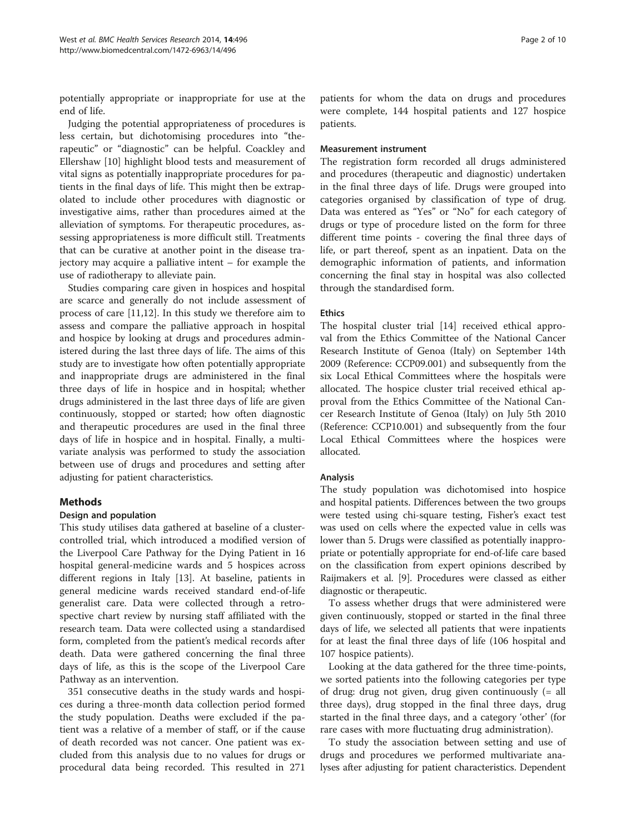potentially appropriate or inappropriate for use at the end of life.

Judging the potential appropriateness of procedures is less certain, but dichotomising procedures into "therapeutic" or "diagnostic" can be helpful. Coackley and Ellershaw [\[10\]](#page-8-0) highlight blood tests and measurement of vital signs as potentially inappropriate procedures for patients in the final days of life. This might then be extrapolated to include other procedures with diagnostic or investigative aims, rather than procedures aimed at the alleviation of symptoms. For therapeutic procedures, assessing appropriateness is more difficult still. Treatments that can be curative at another point in the disease trajectory may acquire a palliative intent – for example the use of radiotherapy to alleviate pain.

Studies comparing care given in hospices and hospital are scarce and generally do not include assessment of process of care [\[11,12](#page-8-0)]. In this study we therefore aim to assess and compare the palliative approach in hospital and hospice by looking at drugs and procedures administered during the last three days of life. The aims of this study are to investigate how often potentially appropriate and inappropriate drugs are administered in the final three days of life in hospice and in hospital; whether drugs administered in the last three days of life are given continuously, stopped or started; how often diagnostic and therapeutic procedures are used in the final three days of life in hospice and in hospital. Finally, a multivariate analysis was performed to study the association between use of drugs and procedures and setting after adjusting for patient characteristics.

## Methods

## Design and population

This study utilises data gathered at baseline of a clustercontrolled trial, which introduced a modified version of the Liverpool Care Pathway for the Dying Patient in 16 hospital general-medicine wards and 5 hospices across different regions in Italy [\[13\]](#page-8-0). At baseline, patients in general medicine wards received standard end-of-life generalist care. Data were collected through a retrospective chart review by nursing staff affiliated with the research team. Data were collected using a standardised form, completed from the patient's medical records after death. Data were gathered concerning the final three days of life, as this is the scope of the Liverpool Care Pathway as an intervention.

351 consecutive deaths in the study wards and hospices during a three-month data collection period formed the study population. Deaths were excluded if the patient was a relative of a member of staff, or if the cause of death recorded was not cancer. One patient was excluded from this analysis due to no values for drugs or procedural data being recorded. This resulted in 271

patients for whom the data on drugs and procedures were complete, 144 hospital patients and 127 hospice patients.

#### Measurement instrument

The registration form recorded all drugs administered and procedures (therapeutic and diagnostic) undertaken in the final three days of life. Drugs were grouped into categories organised by classification of type of drug. Data was entered as "Yes" or "No" for each category of drugs or type of procedure listed on the form for three different time points - covering the final three days of life, or part thereof, spent as an inpatient. Data on the demographic information of patients, and information concerning the final stay in hospital was also collected through the standardised form.

#### **Ethics**

The hospital cluster trial [[14](#page-8-0)] received ethical approval from the Ethics Committee of the National Cancer Research Institute of Genoa (Italy) on September 14th 2009 (Reference: CCP09.001) and subsequently from the six Local Ethical Committees where the hospitals were allocated. The hospice cluster trial received ethical approval from the Ethics Committee of the National Cancer Research Institute of Genoa (Italy) on July 5th 2010 (Reference: CCP10.001) and subsequently from the four Local Ethical Committees where the hospices were allocated.

#### Analysis

The study population was dichotomised into hospice and hospital patients. Differences between the two groups were tested using chi-square testing, Fisher's exact test was used on cells where the expected value in cells was lower than 5. Drugs were classified as potentially inappropriate or potentially appropriate for end-of-life care based on the classification from expert opinions described by Raijmakers et al. [\[9](#page-8-0)]. Procedures were classed as either diagnostic or therapeutic.

To assess whether drugs that were administered were given continuously, stopped or started in the final three days of life, we selected all patients that were inpatients for at least the final three days of life (106 hospital and 107 hospice patients).

Looking at the data gathered for the three time-points, we sorted patients into the following categories per type of drug: drug not given, drug given continuously (= all three days), drug stopped in the final three days, drug started in the final three days, and a category 'other' (for rare cases with more fluctuating drug administration).

To study the association between setting and use of drugs and procedures we performed multivariate analyses after adjusting for patient characteristics. Dependent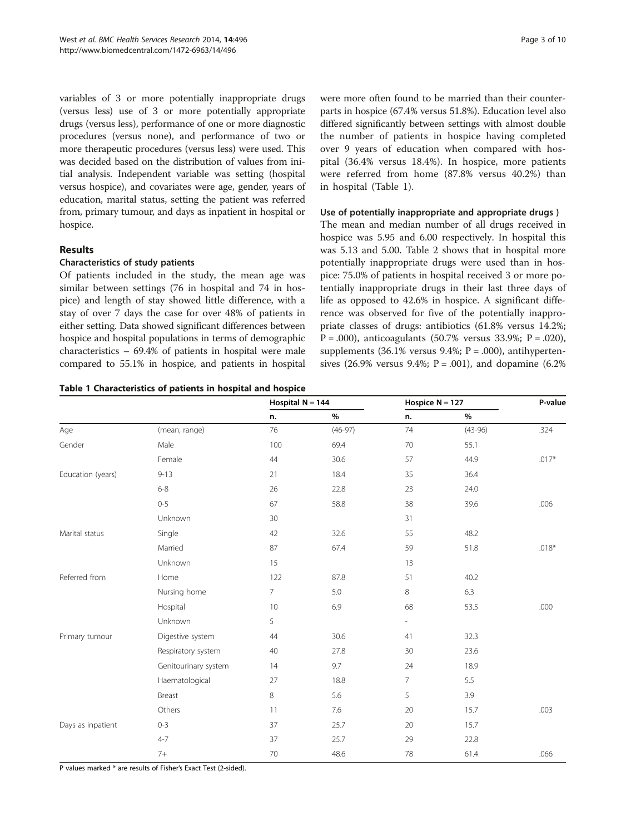<span id="page-2-0"></span>variables of 3 or more potentially inappropriate drugs (versus less) use of 3 or more potentially appropriate drugs (versus less), performance of one or more diagnostic procedures (versus none), and performance of two or more therapeutic procedures (versus less) were used. This was decided based on the distribution of values from initial analysis. Independent variable was setting (hospital versus hospice), and covariates were age, gender, years of education, marital status, setting the patient was referred from, primary tumour, and days as inpatient in hospital or hospice.

## Results

## Characteristics of study patients

Of patients included in the study, the mean age was similar between settings (76 in hospital and 74 in hospice) and length of stay showed little difference, with a stay of over 7 days the case for over 48% of patients in either setting. Data showed significant differences between hospice and hospital populations in terms of demographic characteristics – 69.4% of patients in hospital were male compared to 55.1% in hospice, and patients in hospital

#### Table 1 Characteristics of patients in hospital and hospice

were more often found to be married than their counterparts in hospice (67.4% versus 51.8%). Education level also differed significantly between settings with almost double the number of patients in hospice having completed over 9 years of education when compared with hospital (36.4% versus 18.4%). In hospice, more patients were referred from home (87.8% versus 40.2%) than in hospital (Table 1).

## Use of potentially inappropriate and appropriate drugs )

The mean and median number of all drugs received in hospice was 5.95 and 6.00 respectively. In hospital this was 5.13 and 5.00. Table [2](#page-3-0) shows that in hospital more potentially inappropriate drugs were used than in hospice: 75.0% of patients in hospital received 3 or more potentially inappropriate drugs in their last three days of life as opposed to 42.6% in hospice. A significant difference was observed for five of the potentially inappropriate classes of drugs: antibiotics (61.8% versus 14.2%;  $P = .000$ ), anticoagulants (50.7% versus 33.9%;  $P = .020$ ), supplements (36.1% versus 9.4%;  $P = .000$ ), antihypertensives (26.9% versus 9.4%;  $P = .001$ ), and dopamine (6.2%)

|                   |                      | Hospital $N = 144$ |           | Hospice $N = 127$        |           | P-value |
|-------------------|----------------------|--------------------|-----------|--------------------------|-----------|---------|
|                   |                      | n.                 | $\%$      | n.                       | $\%$      |         |
| Age               | (mean, range)        | 76                 | $(46-97)$ | 74                       | $(43-96)$ | .324    |
| Gender            | Male                 | 100                | 69.4      | 70                       | 55.1      |         |
|                   | Female               | 44                 | 30.6      | 57                       | 44.9      | $.017*$ |
| Education (years) | $9 - 13$             | 21                 | 18.4      | 35                       | 36.4      |         |
|                   | $6 - 8$              | 26                 | 22.8      | 23                       | 24.0      |         |
|                   | $0 - 5$              | 67                 | 58.8      | 38                       | 39.6      | .006    |
|                   | Unknown              | 30                 |           | 31                       |           |         |
| Marital status    | Single               | 42                 | 32.6      | 55                       | 48.2      |         |
|                   | Married              | 87                 | 67.4      | 59                       | 51.8      | $.018*$ |
|                   | Unknown              | 15                 |           | 13                       |           |         |
| Referred from     | Home                 | 122                | 87.8      | 51                       | 40.2      |         |
|                   | Nursing home         | $\overline{7}$     | 5.0       | 8                        | 6.3       |         |
|                   | Hospital             | 10                 | 6.9       | 68                       | 53.5      | .000    |
|                   | Unknown              | 5                  |           | $\overline{\phantom{a}}$ |           |         |
| Primary tumour    | Digestive system     | 44                 | 30.6      | 41                       | 32.3      |         |
|                   | Respiratory system   | 40                 | 27.8      | 30                       | 23.6      |         |
|                   | Genitourinary system | 14                 | 9.7       | 24                       | 18.9      |         |
|                   | Haematological       | 27                 | 18.8      | $\overline{7}$           | 5.5       |         |
|                   | Breast               | 8                  | 5.6       | 5                        | 3.9       |         |
|                   | Others               | 11                 | 7.6       | 20                       | 15.7      | .003    |
| Days as inpatient | $0 - 3$              | 37                 | 25.7      | 20                       | 15.7      |         |
|                   | $4 - 7$              | 37                 | 25.7      | 29                       | 22.8      |         |
|                   | $7+$                 | 70                 | 48.6      | 78                       | 61.4      | .066    |

P values marked \* are results of Fisher's Exact Test (2-sided).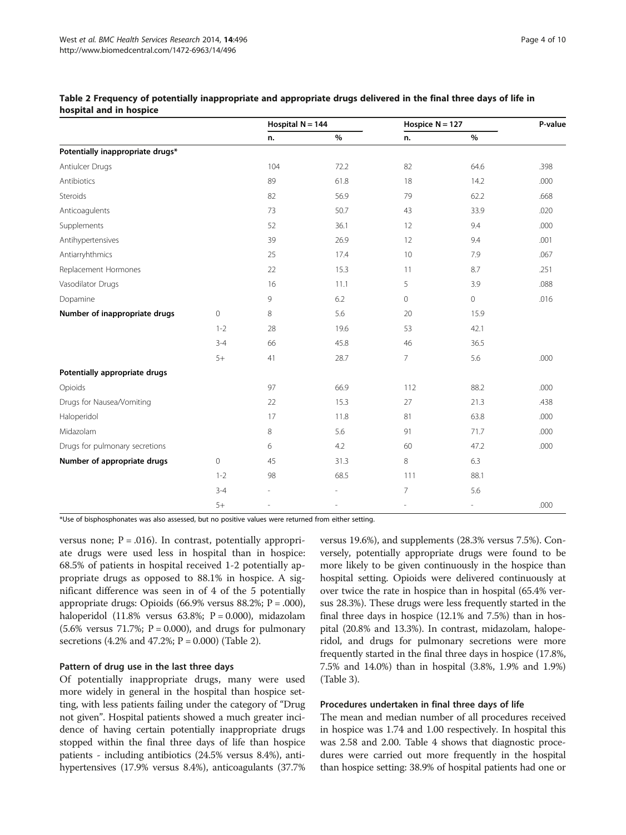|                                  |                | Hospital $N = 144$       |      | Hospice $N = 127$ |              | P-value |
|----------------------------------|----------------|--------------------------|------|-------------------|--------------|---------|
|                                  |                | n.                       | $\%$ | n.                | $\%$         |         |
| Potentially inappropriate drugs* |                |                          |      |                   |              |         |
| Antiulcer Drugs                  |                | 104                      | 72.2 | 82                | 64.6         | .398    |
| Antibiotics                      |                | 89                       | 61.8 | 18                | 14.2         | .000    |
| Steroids                         |                | 82                       | 56.9 | 79                | 62.2         | .668    |
| Anticoagulents                   |                | 73                       | 50.7 | 43                | 33.9         | .020    |
| Supplements                      |                | 52                       | 36.1 | 12                | 9.4          | .000    |
| Antihypertensives                |                | 39                       | 26.9 | 12                | 9.4          | .001    |
| Antiarryhthmics                  |                | 25                       | 17.4 | 10                | 7.9          | .067    |
| Replacement Hormones             |                | 22                       | 15.3 | 11                | 8.7          | .251    |
| Vasodilator Drugs                |                | 16                       | 11.1 | 5                 | 3.9          | .088    |
| Dopamine                         |                | 9                        | 6.2  | 0                 | $\mathbf{0}$ | .016    |
| Number of inappropriate drugs    | $\overline{0}$ | 8                        | 5.6  | 20                | 15.9         |         |
|                                  | $1 - 2$        | 28                       | 19.6 | 53                | 42.1         |         |
|                                  | $3 - 4$        | 66                       | 45.8 | 46                | 36.5         |         |
|                                  | $5+$           | 41                       | 28.7 | $\overline{7}$    | 5.6          | .000    |
| Potentially appropriate drugs    |                |                          |      |                   |              |         |
| Opioids                          |                | 97                       | 66.9 | 112               | 88.2         | .000    |
| Drugs for Nausea/Vomiting        |                | 22                       | 15.3 | 27                | 21.3         | .438    |
| Haloperidol                      |                | 17                       | 11.8 | 81                | 63.8         | .000    |
| Midazolam                        |                | 8                        | 5.6  | 91                | 71.7         | .000    |
| Drugs for pulmonary secretions   |                | 6                        | 4.2  | 60                | 47.2         | .000    |
| Number of appropriate drugs      | $\circ$        | 45                       | 31.3 | 8                 | 6.3          |         |
|                                  | $1 - 2$        | 98                       | 68.5 | 111               | 88.1         |         |
|                                  | $3 - 4$        | $\overline{\phantom{a}}$ |      | $\overline{7}$    | 5.6          |         |
|                                  | $5+$           |                          |      |                   | Ĭ.           | .000    |

#### <span id="page-3-0"></span>Table 2 Frequency of potentially inappropriate and appropriate drugs delivered in the final three days of life in hospital and in hospice

\*Use of bisphosphonates was also assessed, but no positive values were returned from either setting.

versus none;  $P = .016$ ). In contrast, potentially appropriate drugs were used less in hospital than in hospice: 68.5% of patients in hospital received 1-2 potentially appropriate drugs as opposed to 88.1% in hospice. A significant difference was seen in of 4 of the 5 potentially appropriate drugs: Opioids (66.9% versus 88.2%;  $P = .000$ ), haloperidol (11.8% versus 63.8%;  $P = 0.000$ ), midazolam  $(5.6\%$  versus 71.7%; P = 0.000), and drugs for pulmonary secretions (4.2% and 47.2%;  $P = 0.000$ ) (Table 2).

#### Pattern of drug use in the last three days

Of potentially inappropriate drugs, many were used more widely in general in the hospital than hospice setting, with less patients failing under the category of "Drug not given". Hospital patients showed a much greater incidence of having certain potentially inappropriate drugs stopped within the final three days of life than hospice patients - including antibiotics (24.5% versus 8.4%), antihypertensives (17.9% versus 8.4%), anticoagulants (37.7% versus 19.6%), and supplements (28.3% versus 7.5%). Conversely, potentially appropriate drugs were found to be more likely to be given continuously in the hospice than hospital setting. Opioids were delivered continuously at over twice the rate in hospice than in hospital (65.4% versus 28.3%). These drugs were less frequently started in the final three days in hospice (12.1% and 7.5%) than in hospital (20.8% and 13.3%). In contrast, midazolam, haloperidol, and drugs for pulmonary secretions were more frequently started in the final three days in hospice (17.8%, 7.5% and 14.0%) than in hospital (3.8%, 1.9% and 1.9%) (Table [3](#page-4-0)).

#### Procedures undertaken in final three days of life

The mean and median number of all procedures received in hospice was 1.74 and 1.00 respectively. In hospital this was 2.58 and 2.00. Table [4](#page-6-0) shows that diagnostic procedures were carried out more frequently in the hospital than hospice setting: 38.9% of hospital patients had one or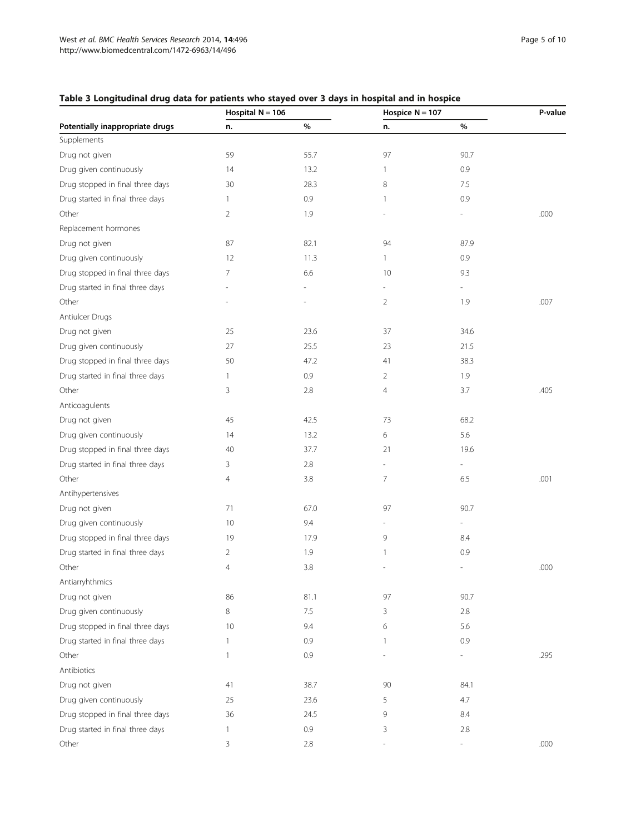## <span id="page-4-0"></span>Table 3 Longitudinal drug data for patients who stayed over 3 days in hospital and in hospice

|                                  |                | Hospital $N = 106$ |                          | Hospice $N = 107$        |      |
|----------------------------------|----------------|--------------------|--------------------------|--------------------------|------|
| Potentially inappropriate drugs  | n.             | %                  | n.                       | %                        |      |
| Supplements                      |                |                    |                          |                          |      |
| Drug not given                   | 59             | 55.7               | 97                       | 90.7                     |      |
| Drug given continuously          | 14             | 13.2               | 1                        | 0.9                      |      |
| Drug stopped in final three days | 30             | 28.3               | 8                        | 7.5                      |      |
| Drug started in final three days | $\mathbf{1}$   | 0.9                | 1                        | 0.9                      |      |
| Other                            | 2              | 1.9                |                          |                          | .000 |
| Replacement hormones             |                |                    |                          |                          |      |
| Drug not given                   | 87             | 82.1               | 94                       | 87.9                     |      |
| Drug given continuously          | 12             | 11.3               | 1                        | 0.9                      |      |
| Drug stopped in final three days | 7              | 6.6                | 10                       | 9.3                      |      |
| Drug started in final three days |                |                    | $\overline{\phantom{0}}$ | $\overline{\phantom{a}}$ |      |
| Other                            |                |                    | 2                        | 1.9                      | .007 |
| Antiulcer Drugs                  |                |                    |                          |                          |      |
| Drug not given                   | 25             | 23.6               | 37                       | 34.6                     |      |
| Drug given continuously          | 27             | 25.5               | 23                       | 21.5                     |      |
| Drug stopped in final three days | 50             | 47.2               | 41                       | 38.3                     |      |
| Drug started in final three days | $\mathbf{1}$   | 0.9                | 2                        | 1.9                      |      |
| Other                            | 3              | 2.8                | 4                        | 3.7                      | .405 |
| Anticoagulents                   |                |                    |                          |                          |      |
| Drug not given                   | 45             | 42.5               | 73                       | 68.2                     |      |
| Drug given continuously          | 14             | 13.2               | 6                        | 5.6                      |      |
| Drug stopped in final three days | 40             | 37.7               | 21                       | 19.6                     |      |
| Drug started in final three days | 3              | 2.8                | $\overline{a}$           | $\overline{\phantom{m}}$ |      |
| Other                            | $\overline{4}$ | 3.8                | 7                        | 6.5                      | .001 |
| Antihypertensives                |                |                    |                          |                          |      |
| Drug not given                   | 71             | 67.0               | 97                       | 90.7                     |      |
| Drug given continuously          | 10             | 9.4                |                          | $\overline{\phantom{a}}$ |      |
| Drug stopped in final three days | 19             | 17.9               | 9                        | 8.4                      |      |
| Drug started in final three days | $\overline{2}$ | 1.9                | 1                        | 0.9                      |      |
| Other                            | $\overline{4}$ | 3.8                |                          |                          | .000 |
| Antiarryhthmics                  |                |                    |                          |                          |      |
| Drug not given                   | 86             | 81.1               | 97                       | 90.7                     |      |
| Drug given continuously          | 8              | 7.5                | 3                        | 2.8                      |      |
| Drug stopped in final three days |                |                    |                          |                          |      |
|                                  | 10             | 9.4                | 6                        | 5.6                      |      |
| Drug started in final three days | 1              | 0.9                | 1                        | 0.9                      |      |
| Other                            | 1              | 0.9                |                          |                          | .295 |
| Antibiotics                      |                |                    |                          |                          |      |
| Drug not given                   | 41             | 38.7               | 90                       | 84.1                     |      |
| Drug given continuously          | 25             | 23.6               | 5                        | 4.7                      |      |
| Drug stopped in final three days | 36             | 24.5               | 9                        | 8.4                      |      |
| Drug started in final three days | 1              | 0.9                | 3                        | 2.8                      |      |
| Other                            | 3              | 2.8                |                          |                          | .000 |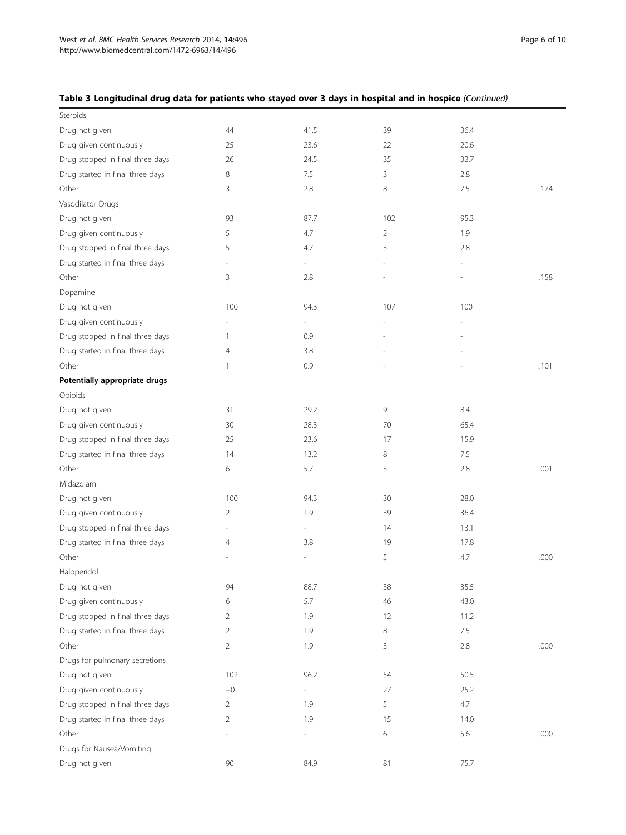## Table 3 Longitudinal drug data for patients who stayed over 3 days in hospital and in hospice (Continued)

| Steroids                         |              |                          |     |      |      |
|----------------------------------|--------------|--------------------------|-----|------|------|
| Drug not given                   | 44           | 41.5                     | 39  | 36.4 |      |
| Drug given continuously          | 25           | 23.6                     | 22  | 20.6 |      |
| Drug stopped in final three days | 26           | 24.5                     | 35  | 32.7 |      |
| Drug started in final three days | 8            | 7.5                      | 3   | 2.8  |      |
| Other                            | 3            | 2.8                      | 8   | 7.5  | .174 |
| Vasodilator Drugs                |              |                          |     |      |      |
| Drug not given                   | 93           | 87.7                     | 102 | 95.3 |      |
| Drug given continuously          | 5            | 4.7                      | 2   | 1.9  |      |
| Drug stopped in final three days | 5            | 4.7                      | 3   | 2.8  |      |
| Drug started in final three days |              | $\overline{\phantom{a}}$ |     |      |      |
| Other                            | 3            | 2.8                      |     |      | .158 |
| Dopamine                         |              |                          |     |      |      |
| Drug not given                   | 100          | 94.3                     | 107 | 100  |      |
| Drug given continuously          |              |                          |     |      |      |
| Drug stopped in final three days | $\mathbf{1}$ | 0.9                      |     |      |      |
| Drug started in final three days | 4            | 3.8                      |     |      |      |
| Other                            | $\mathbf{1}$ | 0.9                      |     | L    | .101 |
| Potentially appropriate drugs    |              |                          |     |      |      |
| Opioids                          |              |                          |     |      |      |
| Drug not given                   | 31           | 29.2                     | 9   | 8.4  |      |
| Drug given continuously          | 30           | 28.3                     | 70  | 65.4 |      |
| Drug stopped in final three days | 25           | 23.6                     | 17  | 15.9 |      |
| Drug started in final three days | 14           | 13.2                     | 8   | 7.5  |      |
| Other                            | 6            | 5.7                      | 3   | 2.8  | .001 |
| Midazolam                        |              |                          |     |      |      |
| Drug not given                   | 100          | 94.3                     | 30  | 28.0 |      |
| Drug given continuously          | 2            | 1.9                      | 39  | 36.4 |      |
| Drug stopped in final three days |              | $\overline{\phantom{a}}$ | 14  | 13.1 |      |
| Drug started in final three days | 4            | 3.8                      | 19  | 17.8 |      |
| Other                            |              |                          | 5   | 4.7  | .000 |
| Haloperidol                      |              |                          |     |      |      |
| Drug not given                   | 94           | 88.7                     | 38  | 35.5 |      |
| Drug given continuously          | 6            | 5.7                      | 46  | 43.0 |      |
| Drug stopped in final three days | 2            | 1.9                      | 12  | 11.2 |      |
| Drug started in final three days | 2            | 1.9                      | 8   | 7.5  |      |
| Other                            | 2            | 1.9                      | 3   | 2.8  | .000 |
| Drugs for pulmonary secretions   |              |                          |     |      |      |
| Drug not given                   | 102          | 96.2                     | 54  | 50.5 |      |
| Drug given continuously          | $-0$         |                          | 27  | 25.2 |      |
| Drug stopped in final three days | 2            | 1.9                      | 5   | 4.7  |      |
| Drug started in final three days | 2            | 1.9                      | 15  | 14.0 |      |
| Other                            |              |                          | 6   | 5.6  | .000 |
| Drugs for Nausea/Vomiting        |              |                          |     |      |      |
| Drug not given                   | 90           | 84.9                     | 81  | 75.7 |      |
|                                  |              |                          |     |      |      |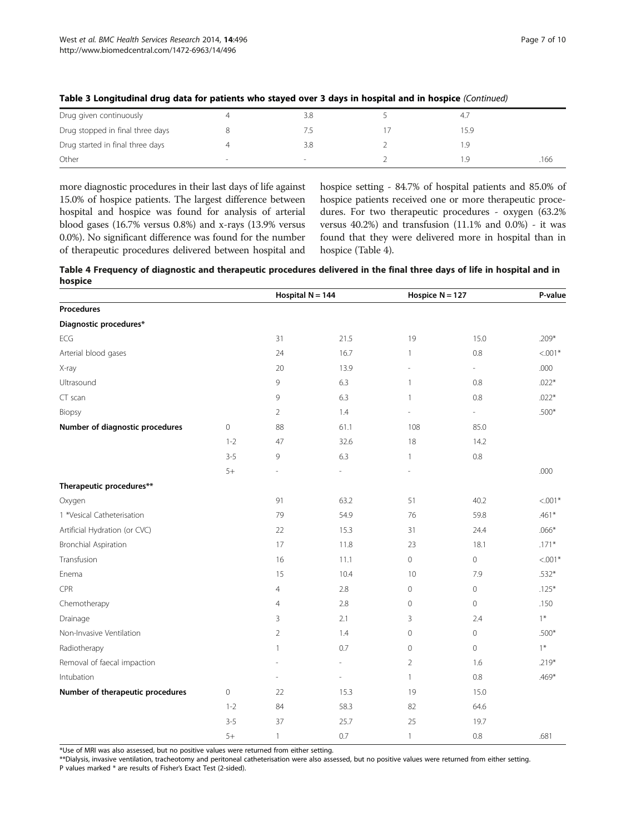| Drug given continuously          | 3.8 | 4,7  |      |
|----------------------------------|-----|------|------|
| Drug stopped in final three days |     | 15.9 |      |
| Drug started in final three days | 3.8 |      |      |
| Other                            |     |      | .166 |

#### <span id="page-6-0"></span>Table 3 Longitudinal drug data for patients who stayed over 3 days in hospital and in hospice (Continued)

more diagnostic procedures in their last days of life against 15.0% of hospice patients. The largest difference between hospital and hospice was found for analysis of arterial blood gases (16.7% versus 0.8%) and x-rays (13.9% versus 0.0%). No significant difference was found for the number of therapeutic procedures delivered between hospital and hospice setting - 84.7% of hospital patients and 85.0% of hospice patients received one or more therapeutic procedures. For two therapeutic procedures - oxygen (63.2% versus 40.2%) and transfusion (11.1% and 0.0%) - it was found that they were delivered more in hospital than in hospice (Table 4).

|         | Table 4 Frequency of diagnostic and therapeutic procedures delivered in the final three days of life in hospital and in |  |  |
|---------|-------------------------------------------------------------------------------------------------------------------------|--|--|
| hospice |                                                                                                                         |  |  |

|                                  |             | Hospital $N = 144$ |      | Hospice $N = 127$ |                          | P-value   |
|----------------------------------|-------------|--------------------|------|-------------------|--------------------------|-----------|
| Procedures                       |             |                    |      |                   |                          |           |
| Diagnostic procedures*           |             |                    |      |                   |                          |           |
| ECG                              |             | 31                 | 21.5 | 19                | 15.0                     | $.209*$   |
| Arterial blood gases             |             | 24                 | 16.7 | $\mathbf{1}$      | 0.8                      | $< 0.01*$ |
| X-ray                            |             | 20                 | 13.9 | $\sim$            | $\overline{\phantom{a}}$ | .000      |
| Ultrasound                       |             | 9                  | 6.3  | $\mathbf{1}$      | $0.8\,$                  | $.022*$   |
| CT scan                          |             | 9                  | 6.3  | $\mathbf{1}$      | 0.8                      | $.022*$   |
| Biopsy                           |             | $\overline{2}$     | 1.4  | J.                | $\overline{\phantom{a}}$ | $.500*$   |
| Number of diagnostic procedures  | $\circ$     | 88                 | 61.1 | 108               | 85.0                     |           |
|                                  | $1 - 2$     | 47                 | 32.6 | 18                | 14.2                     |           |
|                                  | $3 - 5$     | 9                  | 6.3  | $\mathbf{1}$      | $0.8\,$                  |           |
|                                  | $5+$        | ä,                 | ٠    | ÷,                |                          | .000      |
| Therapeutic procedures**         |             |                    |      |                   |                          |           |
| Oxygen                           |             | 91                 | 63.2 | 51                | 40.2                     | $< .001*$ |
| 1 *Vesical Catheterisation       |             | 79                 | 54.9 | 76                | 59.8                     | $.461*$   |
| Artificial Hydration (or CVC)    |             | 22                 | 15.3 | 31                | 24.4                     | $.066*$   |
| Bronchial Aspiration             |             | 17                 | 11.8 | 23                | 18.1                     | $.171*$   |
| Transfusion                      |             | 16                 | 11.1 | $\mathbf 0$       | $\circ$                  | $< 0.01*$ |
| Enema                            |             | 15                 | 10.4 | 10                | 7.9                      | $.532*$   |
| CPR                              |             | $\overline{4}$     | 2.8  | $\mathbf 0$       | $\mathbb O$              | $.125*$   |
| Chemotherapy                     |             | $\overline{4}$     | 2.8  | $\mathbf 0$       | $\circ$                  | .150      |
| Drainage                         |             | 3                  | 2.1  | 3                 | 2.4                      | $1*$      |
| Non-Invasive Ventilation         |             | $\overline{2}$     | 1.4  | $\mathbf 0$       | $\mathbf 0$              | $.500*$   |
| Radiotherapy                     |             | 1                  | 0.7  | $\mathbf{0}$      | $\mathbf{0}$             | $1*$      |
| Removal of faecal impaction      |             | ä,                 | L.   | $\overline{2}$    | 1.6                      | $.219*$   |
| Intubation                       |             |                    | ä,   | $\mathbf{1}$      | 0.8                      | $.469*$   |
| Number of therapeutic procedures | $\mathbf 0$ | 22                 | 15.3 | 19                | 15.0                     |           |
|                                  | $1 - 2$     | 84                 | 58.3 | 82                | 64.6                     |           |
|                                  | $3 - 5$     | 37                 | 25.7 | 25                | 19.7                     |           |
|                                  | $5+$        | $\mathbf{1}$       | 0.7  | $\mathbf{1}$      | 0.8                      | .681      |

\*Use of MRI was also assessed, but no positive values were returned from either setting.

\*\*Dialysis, invasive ventilation, tracheotomy and peritoneal catheterisation were also assessed, but no positive values were returned from either setting. P values marked \* are results of Fisher's Exact Test (2-sided).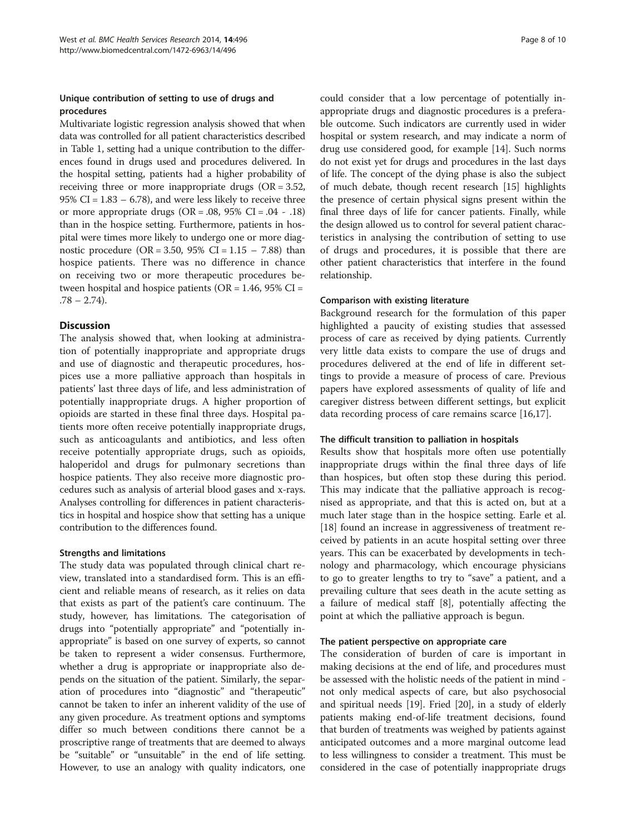## Unique contribution of setting to use of drugs and procedures

Multivariate logistic regression analysis showed that when data was controlled for all patient characteristics described in Table [1,](#page-2-0) setting had a unique contribution to the differences found in drugs used and procedures delivered. In the hospital setting, patients had a higher probability of receiving three or more inappropriate drugs (OR = 3.52, 95% CI =  $1.83 - 6.78$ ), and were less likely to receive three or more appropriate drugs  $(OR = .08, 95\% CI = .04 - .18)$ than in the hospice setting. Furthermore, patients in hospital were times more likely to undergo one or more diagnostic procedure (OR = 3.50, 95% CI =  $1.15 - 7.88$ ) than hospice patients. There was no difference in chance on receiving two or more therapeutic procedures between hospital and hospice patients ( $OR = 1.46$ ,  $95\% CI =$  $.78 - 2.74$ .

## **Discussion**

The analysis showed that, when looking at administration of potentially inappropriate and appropriate drugs and use of diagnostic and therapeutic procedures, hospices use a more palliative approach than hospitals in patients' last three days of life, and less administration of potentially inappropriate drugs. A higher proportion of opioids are started in these final three days. Hospital patients more often receive potentially inappropriate drugs, such as anticoagulants and antibiotics, and less often receive potentially appropriate drugs, such as opioids, haloperidol and drugs for pulmonary secretions than hospice patients. They also receive more diagnostic procedures such as analysis of arterial blood gases and x-rays. Analyses controlling for differences in patient characteristics in hospital and hospice show that setting has a unique contribution to the differences found.

## Strengths and limitations

The study data was populated through clinical chart review, translated into a standardised form. This is an efficient and reliable means of research, as it relies on data that exists as part of the patient's care continuum. The study, however, has limitations. The categorisation of drugs into "potentially appropriate" and "potentially inappropriate" is based on one survey of experts, so cannot be taken to represent a wider consensus. Furthermore, whether a drug is appropriate or inappropriate also depends on the situation of the patient. Similarly, the separation of procedures into "diagnostic" and "therapeutic" cannot be taken to infer an inherent validity of the use of any given procedure. As treatment options and symptoms differ so much between conditions there cannot be a proscriptive range of treatments that are deemed to always be "suitable" or "unsuitable" in the end of life setting. However, to use an analogy with quality indicators, one

could consider that a low percentage of potentially inappropriate drugs and diagnostic procedures is a preferable outcome. Such indicators are currently used in wider hospital or system research, and may indicate a norm of drug use considered good, for example [\[14\]](#page-8-0). Such norms do not exist yet for drugs and procedures in the last days of life. The concept of the dying phase is also the subject of much debate, though recent research [[15](#page-8-0)] highlights the presence of certain physical signs present within the final three days of life for cancer patients. Finally, while the design allowed us to control for several patient characteristics in analysing the contribution of setting to use of drugs and procedures, it is possible that there are other patient characteristics that interfere in the found relationship.

## Comparison with existing literature

Background research for the formulation of this paper highlighted a paucity of existing studies that assessed process of care as received by dying patients. Currently very little data exists to compare the use of drugs and procedures delivered at the end of life in different settings to provide a measure of process of care. Previous papers have explored assessments of quality of life and caregiver distress between different settings, but explicit data recording process of care remains scarce [[16](#page-8-0),[17](#page-8-0)].

## The difficult transition to palliation in hospitals

Results show that hospitals more often use potentially inappropriate drugs within the final three days of life than hospices, but often stop these during this period. This may indicate that the palliative approach is recognised as appropriate, and that this is acted on, but at a much later stage than in the hospice setting. Earle et al. [[18\]](#page-9-0) found an increase in aggressiveness of treatment received by patients in an acute hospital setting over three years. This can be exacerbated by developments in technology and pharmacology, which encourage physicians to go to greater lengths to try to "save" a patient, and a prevailing culture that sees death in the acute setting as a failure of medical staff [[8\]](#page-8-0), potentially affecting the point at which the palliative approach is begun.

## The patient perspective on appropriate care

The consideration of burden of care is important in making decisions at the end of life, and procedures must be assessed with the holistic needs of the patient in mind not only medical aspects of care, but also psychosocial and spiritual needs [[19](#page-9-0)]. Fried [\[20\]](#page-9-0), in a study of elderly patients making end-of-life treatment decisions, found that burden of treatments was weighed by patients against anticipated outcomes and a more marginal outcome lead to less willingness to consider a treatment. This must be considered in the case of potentially inappropriate drugs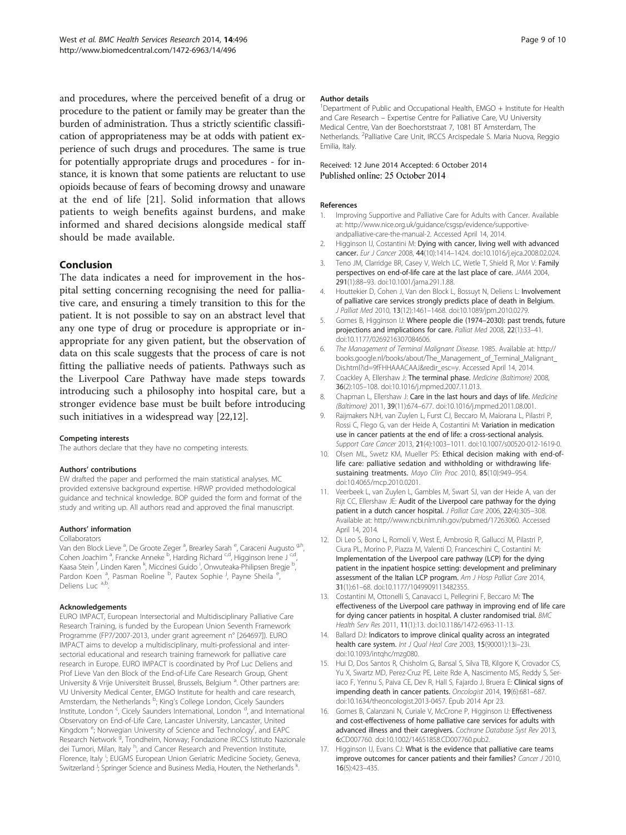<span id="page-8-0"></span>and procedures, where the perceived benefit of a drug or procedure to the patient or family may be greater than the burden of administration. Thus a strictly scientific classification of appropriateness may be at odds with patient experience of such drugs and procedures. The same is true for potentially appropriate drugs and procedures - for instance, it is known that some patients are reluctant to use opioids because of fears of becoming drowsy and unaware at the end of life [\[21](#page-9-0)]. Solid information that allows patients to weigh benefits against burdens, and make informed and shared decisions alongside medical staff should be made available.

#### Conclusion

The data indicates a need for improvement in the hospital setting concerning recognising the need for palliative care, and ensuring a timely transition to this for the patient. It is not possible to say on an abstract level that any one type of drug or procedure is appropriate or inappropriate for any given patient, but the observation of data on this scale suggests that the process of care is not fitting the palliative needs of patients. Pathways such as the Liverpool Care Pathway have made steps towards introducing such a philosophy into hospital care, but a stronger evidence base must be built before introducing such initiatives in a widespread way [\[22,](#page-9-0)12].

#### Competing interests

The authors declare that they have no competing interests.

#### Authors' contributions

EW drafted the paper and performed the main statistical analyses. MC provided extensive background expertise. HRWP provided methodological guidance and technical knowledge. BOP guided the form and format of the study and writing up. All authors read and approved the final manuscript.

#### Authors' information

Collaborators

Van den Block Lieve <sup>a</sup>, De Groote Zeger <sup>a</sup>, Brearley Sarah <sup>e</sup>, Caraceni Augusto <sup>g,h</sup>, Cohen Joachim<sup>a</sup>, Francke Anneke <sup>b</sup>, Harding Richard <sup>c,d</sup>, Higginson Irene J <sup>c,d</sup>, Kaasa Stein <sup>f</sup>, Linden Karen <sup>k</sup>, Miccinesi Guido <sup>i</sup>, Onwuteaka-Philipsen Bregje <sup>b</sup> , Pardon Koen<sup>a</sup>, Pasman Roeline <sup>b</sup>, Pautex Sophie <sup>j</sup>, Payne Sheila<sup>e</sup> , Deliens Luc a,b.

#### Acknowledgements

EURO IMPACT, European Intersectorial and Multidisciplinary Palliative Care Research Training, is funded by the European Union Seventh Framework Programme (FP7/2007-2013, under grant agreement n° [264697]). EURO IMPACT aims to develop a multidisciplinary, multi-professional and intersectorial educational and research training framework for palliative care research in Europe. EURO IMPACT is coordinated by Prof Luc Deliens and Prof Lieve Van den Block of the End-of-Life Care Research Group, Ghent University & Vrije Universiteit Brussel, Brussels, Belgium <sup>a</sup>. Other partners are: VU University Medical Center, EMGO Institute for health and care research, Amsterdam, the Netherlands <sup>b</sup>; King's College London, Cicely Saunders Institute, London <sup>c</sup>, Cicely Saunders International, London <sup>d</sup>, and International Observatory on End-of-Life Care, Lancaster University, Lancaster, United Kingdom <sup>e</sup>; Norwegian University of Science and Technology<sup>f</sup>, and EAPC Research Network <sup>g</sup>, Trondheim, Norway; Fondazione IRCCS Istituto Nazionale dei Tumori, Milan, Italy <sup>h</sup>, and Cancer Research and Prevention Institute, Florence, Italy<sup>i</sup>; EUGMS European Union Geriatric Medicine Society, Geneva, Switzerland <sup>J</sup>, Springer Science and Business Media, Houten, the Netherlands <sup>k</sup> .

#### Author details

<sup>1</sup>Department of Public and Occupational Health, EMGO + Institute for Health and Care Research – Expertise Centre for Palliative Care, VU University Medical Centre, Van der Boechorststraat 7, 1081 BT Amsterdam, The Netherlands. <sup>2</sup>Palliative Care Unit, IRCCS Arcispedale S. Maria Nuova, Reggio Emilia, Italy.

#### Received: 12 June 2014 Accepted: 6 October 2014 Published online: 25 October 2014

#### References

- 1. Improving Supportive and Palliative Care for Adults with Cancer. Available at: [http://www.nice.org.uk/guidance/csgsp/evidence/supportive](http://www.nice.org.uk/guidance/csgsp/evidence/supportive-andpalliative-care-the-manual-2)[andpalliative-care-the-manual-2](http://www.nice.org.uk/guidance/csgsp/evidence/supportive-andpalliative-care-the-manual-2). Accessed April 14, 2014.
- 2. Higginson IJ, Costantini M: Dying with cancer, living well with advanced cancer. Eur J Cancer 2008, 44(10):1414–1424. doi:10.1016/j.ejca.2008.02.024.
- 3. Teno JM, Clarridge BR, Casey V, Welch LC, Wetle T, Shield R, Mor V: Family perspectives on end-of-life care at the last place of care. JAMA 2004, 291(1):88–93. doi:10.1001/jama.291.1.88.
- 4. Houttekier D, Cohen J, Van den Block L, Bossuyt N, Deliens L: Involvement of palliative care services strongly predicts place of death in Belgium. J Palliat Med 2010, 13(12):1461–1468. doi:10.1089/jpm.2010.0279.
- 5. Gomes B, Higginson IJ: Where people die (1974–2030): past trends, future projections and implications for care. Palliat Med 2008, 22(1):33–41. doi:10.1177/0269216307084606.
- The Management of Terminal Malignant Disease. 1985. Available at: [http://](http://books.google.nl/books/about/The_Management_of_Terminal_Malignant_Dis.html?id=9fFHHAAACAAJ&redir_esc=y) [books.google.nl/books/about/The\\_Management\\_of\\_Terminal\\_Malignant\\_](http://books.google.nl/books/about/The_Management_of_Terminal_Malignant_Dis.html?id=9fFHHAAACAAJ&redir_esc=y) [Dis.html?id=9fFHHAAACAAJ&redir\\_esc=y.](http://books.google.nl/books/about/The_Management_of_Terminal_Malignant_Dis.html?id=9fFHHAAACAAJ&redir_esc=y) Accessed April 14, 2014.
- 7. Coackley A, Ellershaw J: The terminal phase. Medicine (Baltimore) 2008, 36(2):105–108. doi:10.1016/j.mpmed.2007.11.013.
- 8. Chapman L, Ellershaw J: Care in the last hours and days of life. Medicine (Baltimore) 2011, 39(11):674–677. doi:10.1016/j.mpmed.2011.08.001.
- Raijmakers NJH, van Zuylen L, Furst CJ, Beccaro M, Maiorana L, Pilastri P, Rossi C, Flego G, van der Heide A, Costantini M: Variation in medication use in cancer patients at the end of life: a cross-sectional analysis. Support Care Cancer 2013, 21(4):1003-1011. doi:10.1007/s00520-012-1619-0.
- 10. Olsen ML, Swetz KM, Mueller PS: Ethical decision making with end-oflife care: palliative sedation and withholding or withdrawing lifesustaining treatments. Mayo Clin Proc 2010, 85(10):949–954. doi:10.4065/mcp.2010.0201.
- 11. Veerbeek L, van Zuylen L, Gambles M, Swart SJ, van der Heide A, van der Rijt CC, Ellershaw JE: Audit of the Liverpool care pathway for the dying patient in a dutch cancer hospital. J Palliat Care 2006, 22(4):305-308. Available at: [http://www.ncbi.nlm.nih.gov/pubmed/17263060.](http://www.ncbi.nlm.nih.gov/pubmed/17263060) Accessed April 14, 2014.
- 12. Di Leo S, Bono L, Romoli V, West E, Ambrosio R, Gallucci M, Pilastri P, Ciura PL, Morino P, Piazza M, Valenti D, Franceschini C, Costantini M: Implementation of the Liverpool care pathway (LCP) for the dying patient in the inpatient hospice setting: development and preliminary assessment of the Italian LCP program. Am J Hosp Palliat Care 2014, 31(1):61–68. doi:10.1177/1049909113482355.
- 13. Costantini M, Ottonelli S, Canavacci L, Pellegrini F, Beccaro M: The effectiveness of the Liverpool care pathway in improving end of life care for dying cancer patients in hospital. A cluster randomised trial. BMC Health Serv Res 2011, 11(1):13. doi:10.1186/1472-6963-11-13.
- 14. Ballard DJ: Indicators to improve clinical quality across an integrated health care system. Int J Qual Heal Care 2003, 15(90001):13i–23i. doi:10.1093/intqhc/mzg080.
- 15. Hui D, Dos Santos R, Chisholm G, Bansal S, Silva TB, Kilgore K, Crovador CS, Yu X, Swartz MD, Perez-Cruz PE, Leite Rde A, Nascimento MS, Reddy S, Seriaco F, Yennu S, Paiva CE, Dev R, Hall S, Fajardo J, Bruera E: Clinical signs of impending death in cancer patients. Oncologist 2014, 19(6):681–687. doi:10.1634/theoncologist.2013-0457. Epub 2014 Apr 23.
- 16. Gomes B, Calanzani N, Curiale V, McCrone P, Higginson IJ: Effectiveness and cost-effectiveness of home palliative care services for adults with advanced illness and their caregivers. Cochrane Database Syst Rev 2013, 6:CD007760. doi:10.1002/14651858.CD007760.pub2.
- 17. Higginson IJ, Evans CJ: What is the evidence that palliative care teams improve outcomes for cancer patients and their families? Cancer J 2010, 16(5):423–435.